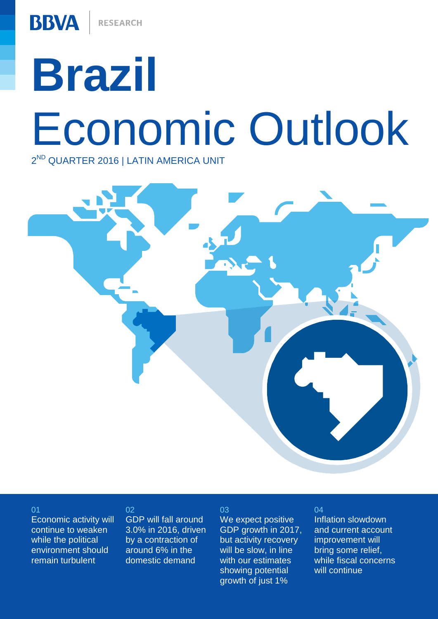# **Brazil** Economic Outlook 2<sup>ND</sup> QUARTER 2016 | LATIN AMERICA UNIT

03

### 01

Economic activity will continue to weaken while the political environment should remain turbulent

### 02

GDP will fall around 3.0% in 2016, driven by a contraction of around 6% in the domestic demand

We expect positive GDP growth in 2017, but activity recovery will be slow, in line with our estimates showing potential growth of just 1%

### 04

Inflation slowdown and current account improvement will bring some relief, while fiscal concerns will continue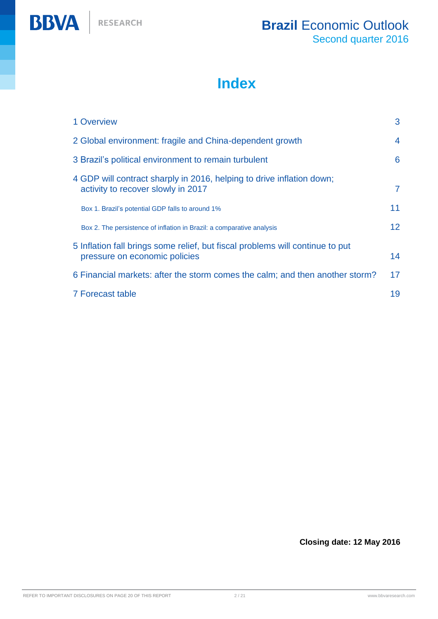

# **Index**

| 1 Overview                                                                                                     | 3               |
|----------------------------------------------------------------------------------------------------------------|-----------------|
| 2 Global environment: fragile and China-dependent growth                                                       | $\overline{4}$  |
| 3 Brazil's political environment to remain turbulent                                                           | 6               |
| 4 GDP will contract sharply in 2016, helping to drive inflation down;<br>activity to recover slowly in 2017    | $\overline{7}$  |
| Box 1. Brazil's potential GDP falls to around 1%                                                               | 11              |
| Box 2. The persistence of inflation in Brazil: a comparative analysis                                          | 12 <sup>2</sup> |
| 5 Inflation fall brings some relief, but fiscal problems will continue to put<br>pressure on economic policies | 14              |
| 6 Financial markets: after the storm comes the calm; and then another storm?                                   | 17              |
| 7 Forecast table                                                                                               | 19              |

## **Closing date: 12 May 2016**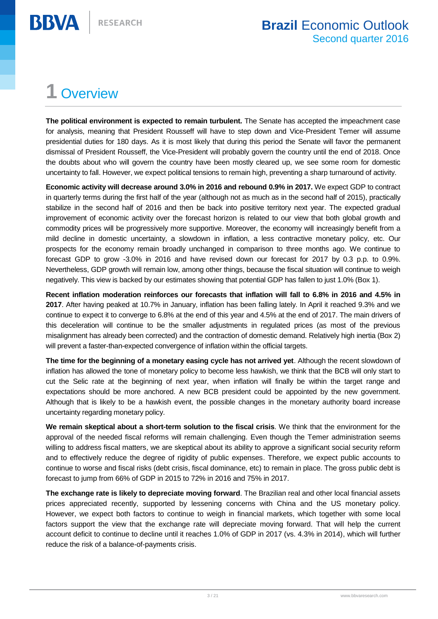# <span id="page-2-0"></span>**1** Overview

**BBVA** 

**The political environment is expected to remain turbulent.** The Senate has accepted the impeachment case for analysis, meaning that President Rousseff will have to step down and Vice-President Temer will assume presidential duties for 180 days. As it is most likely that during this period the Senate will favor the permanent dismissal of President Rousseff, the Vice-President will probably govern the country until the end of 2018. Once the doubts about who will govern the country have been mostly cleared up, we see some room for domestic uncertainty to fall. However, we expect political tensions to remain high, preventing a sharp turnaround of activity.

**Economic activity will decrease around 3.0% in 2016 and rebound 0.9% in 2017.** We expect GDP to contract in quarterly terms during the first half of the year (although not as much as in the second half of 2015), practically stabilize in the second half of 2016 and then be back into positive territory next year. The expected gradual improvement of economic activity over the forecast horizon is related to our view that both global growth and commodity prices will be progressively more supportive. Moreover, the economy will increasingly benefit from a mild decline in domestic uncertainty, a slowdown in inflation, a less contractive monetary policy, etc. Our prospects for the economy remain broadly unchanged in comparison to three months ago. We continue to forecast GDP to grow -3.0% in 2016 and have revised down our forecast for 2017 by 0.3 p.p. to 0.9%. Nevertheless, GDP growth will remain low, among other things, because the fiscal situation will continue to weigh negatively. This view is backed by our estimates showing that potential GDP has fallen to just 1.0% (Box 1).

**Recent inflation moderation reinforces our forecasts that inflation will fall to 6.8% in 2016 and 4.5% in 2017**. After having peaked at 10.7% in January, inflation has been falling lately. In April it reached 9.3% and we continue to expect it to converge to 6.8% at the end of this year and 4.5% at the end of 2017. The main drivers of this deceleration will continue to be the smaller adjustments in regulated prices (as most of the previous misalignment has already been corrected) and the contraction of domestic demand. Relatively high inertia (Box 2) will prevent a faster-than-expected convergence of inflation within the official targets.

**The time for the beginning of a monetary easing cycle has not arrived yet**. Although the recent slowdown of inflation has allowed the tone of monetary policy to become less hawkish, we think that the BCB will only start to cut the Selic rate at the beginning of next year, when inflation will finally be within the target range and expectations should be more anchored. A new BCB president could be appointed by the new government. Although that is likely to be a hawkish event, the possible changes in the monetary authority board increase uncertainty regarding monetary policy.

**We remain skeptical about a short-term solution to the fiscal crisis**. We think that the environment for the approval of the needed fiscal reforms will remain challenging. Even though the Temer administration seems willing to address fiscal matters, we are skeptical about its ability to approve a significant social security reform and to effectively reduce the degree of rigidity of public expenses. Therefore, we expect public accounts to continue to worse and fiscal risks (debt crisis, fiscal dominance, etc) to remain in place. The gross public debt is forecast to jump from 66% of GDP in 2015 to 72% in 2016 and 75% in 2017.

**The exchange rate is likely to depreciate moving forward**. The Brazilian real and other local financial assets prices appreciated recently, supported by lessening concerns with China and the US monetary policy. However, we expect both factors to continue to weigh in financial markets, which together with some local factors support the view that the exchange rate will depreciate moving forward. That will help the current account deficit to continue to decline until it reaches 1.0% of GDP in 2017 (vs. 4.3% in 2014), which will further reduce the risk of a balance-of-payments crisis.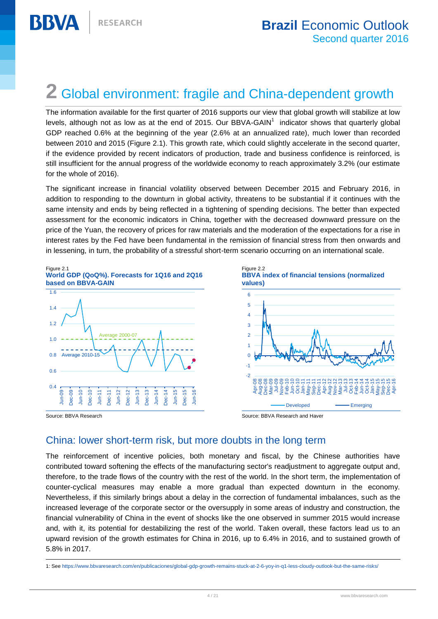# <span id="page-3-0"></span>**2** Global environment: fragile and China-dependent growth

The information available for the first quarter of 2016 supports our view that global growth will stabilize at low levels, although not as low as at the end of 2015. Our BBVA-GAIN<sup>1</sup> indicator shows that quarterly global GDP reached 0.6% at the beginning of the year (2.6% at an annualized rate), much lower than recorded between 2010 and 2015 (Figure 2.1). This growth rate, which could slightly accelerate in the second quarter, if the evidence provided by recent indicators of production, trade and business confidence is reinforced, is still insufficient for the annual progress of the worldwide economy to reach approximately 3.2% (our estimate for the whole of 2016).

The significant increase in financial volatility observed between December 2015 and February 2016, in addition to responding to the downturn in global activity, threatens to be substantial if it continues with the same intensity and ends by being reflected in a tightening of spending decisions. The better than expected assessment for the economic indicators in China, together with the decreased downward pressure on the price of the Yuan, the recovery of prices for raw materials and the moderation of the expectations for a rise in interest rates by the Fed have been fundamental in the remission of financial stress from then onwards and in lessening, in turn, the probability of a stressful short-term scenario occurring on an international scale.



# China: lower short-term risk, but more doubts in the long term

The reinforcement of incentive policies, both monetary and fiscal, by the Chinese authorities have contributed toward softening the effects of the manufacturing sector's readjustment to aggregate output and, therefore, to the trade flows of the country with the rest of the world. In the short term, the implementation of counter-cyclical measures may enable a more gradual than expected downturn in the economy. Nevertheless, if this similarly brings about a delay in the correction of fundamental imbalances, such as the increased leverage of the corporate sector or the oversupply in some areas of industry and construction, the financial vulnerability of China in the event of shocks like the one observed in summer 2015 would increase and, with it, its potential for destabilizing the rest of the world. Taken overall, these factors lead us to an upward revision of the growth estimates for China in 2016, up to 6.4% in 2016, and to sustained growth of 5.8% in 2017.

 $\overline{a}$ 1: See <https://www.bbvaresearch.com/en/publicaciones/global-gdp-growth-remains-stuck-at-2-6-yoy-in-q1-less-cloudy-outlook-but-the-same-risks/>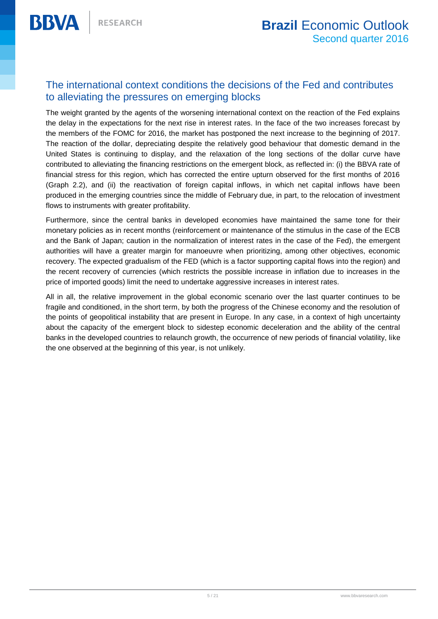# The international context conditions the decisions of the Fed and contributes to alleviating the pressures on emerging blocks

The weight granted by the agents of the worsening international context on the reaction of the Fed explains the delay in the expectations for the next rise in interest rates. In the face of the two increases forecast by the members of the FOMC for 2016, the market has postponed the next increase to the beginning of 2017. The reaction of the dollar, depreciating despite the relatively good behaviour that domestic demand in the United States is continuing to display, and the relaxation of the long sections of the dollar curve have contributed to alleviating the financing restrictions on the emergent block, as reflected in: (i) the BBVA rate of financial stress for this region, which has corrected the entire upturn observed for the first months of 2016 (Graph 2.2), and (ii) the reactivation of foreign capital inflows, in which net capital inflows have been produced in the emerging countries since the middle of February due, in part, to the relocation of investment flows to instruments with greater profitability.

Furthermore, since the central banks in developed economies have maintained the same tone for their monetary policies as in recent months (reinforcement or maintenance of the stimulus in the case of the ECB and the Bank of Japan; caution in the normalization of interest rates in the case of the Fed), the emergent authorities will have a greater margin for manoeuvre when prioritizing, among other objectives, economic recovery. The expected gradualism of the FED (which is a factor supporting capital flows into the region) and the recent recovery of currencies (which restricts the possible increase in inflation due to increases in the price of imported goods) limit the need to undertake aggressive increases in interest rates.

All in all, the relative improvement in the global economic scenario over the last quarter continues to be fragile and conditioned, in the short term, by both the progress of the Chinese economy and the resolution of the points of geopolitical instability that are present in Europe. In any case, in a context of high uncertainty about the capacity of the emergent block to sidestep economic deceleration and the ability of the central banks in the developed countries to relaunch growth, the occurrence of new periods of financial volatility, like the one observed at the beginning of this year, is not unlikely.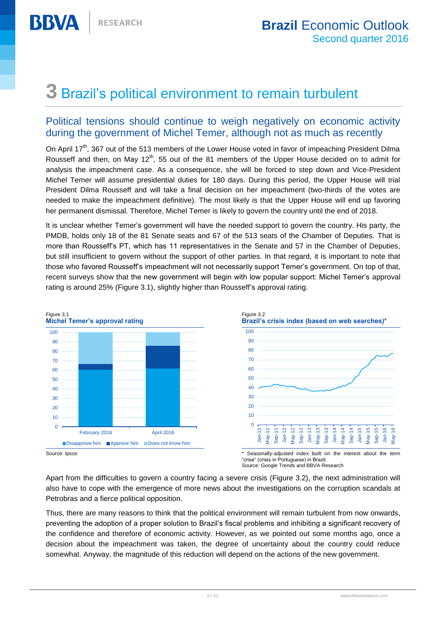# <span id="page-5-0"></span>**3** Brazil's political environment to remain turbulent

# Political tensions should continue to weigh negatively on economic activity during the government of Michel Temer, although not as much as recently

On April 17<sup>th</sup>, 367 out of the 513 members of the Lower House voted in favor of impeaching President Dilma Rousseff and then, on May 12<sup>th</sup>, 55 out of the 81 members of the Upper House decided on to admit for analysis the impeachment case. As a consequence, she will be forced to step down and Vice-President Michel Temer will assume presidential duties for 180 days. During this period, the Upper House will trial President Dilma Rousseff and will take a final decision on her impeachment (two-thirds of the votes are needed to make the impeachment definitive). The most likely is that the Upper House will end up favoring her permanent dismissal. Therefore, Michel Temer is likely to govern the country until the end of 2018.

It is unclear whether Temer's government will have the needed support to govern the country. His party, the PMDB, holds only 18 of the 81 Senate seats and 67 of the 513 seats of the Chamber of Deputies. That is more than Rousseff's PT, which has 11 representatives in the Senate and 57 in the Chamber of Deputies, but still insufficient to govern without the support of other parties. In that regard, it is important to note that those who favored Rousseff's impeachment will not necessarily support Temer's government. On top of that, recent surveys show that the new government will begin with low popular support: Michel Temer's approval rating is around 25% (Figure 3.1), slightly higher than Rousseff's approval rating.



Source: Google Trends and BBVA Research

Apart from the difficulties to govern a country facing a severe crisis (Figure 3.2), the next administration will also have to cope with the emergence of more news about the investigations on the corruption scandals at Petrobras and a fierce political opposition.

Thus, there are many reasons to think that the political environment will remain turbulent from now onwards, preventing the adoption of a proper solution to Brazil's fiscal problems and inhibiting a significant recovery of the confidence and therefore of economic activity. However, as we pointed out some months ago, once a decision about the impeachment was taken, the degree of uncertainty about the country could reduce somewhat. Anyway, the magnitude of this reduction will depend on the actions of the new government.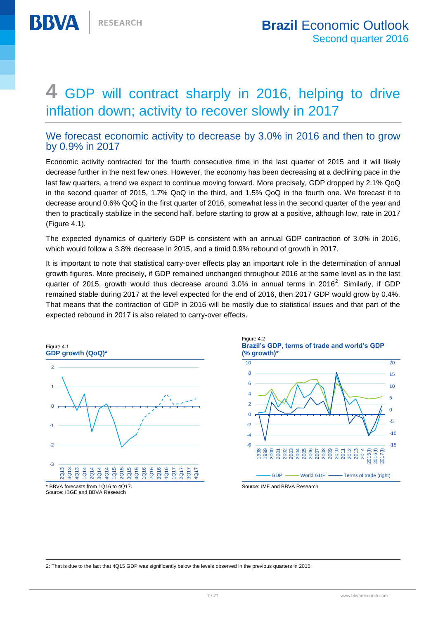# <span id="page-6-0"></span>**4** GDP will contract sharply in 2016, helping to drive inflation down; activity to recover slowly in 2017

# We forecast economic activity to decrease by 3.0% in 2016 and then to grow by 0.9% in 2017

Economic activity contracted for the fourth consecutive time in the last quarter of 2015 and it will likely decrease further in the next few ones. However, the economy has been decreasing at a declining pace in the last few quarters, a trend we expect to continue moving forward. More precisely, GDP dropped by 2.1% QoQ in the second quarter of 2015, 1.7% QoQ in the third, and 1.5% QoQ in the fourth one. We forecast it to decrease around 0.6% QoQ in the first quarter of 2016, somewhat less in the second quarter of the year and then to practically stabilize in the second half, before starting to grow at a positive, although low, rate in 2017 (Figure 4.1).

The expected dynamics of quarterly GDP is consistent with an annual GDP contraction of 3.0% in 2016, which would follow a 3.8% decrease in 2015, and a timid 0.9% rebound of growth in 2017.

It is important to note that statistical carry-over effects play an important role in the determination of annual growth figures. More precisely, if GDP remained unchanged throughout 2016 at the same level as in the last quarter of 2015, growth would thus decrease around 3.0% in annual terms in 2016<sup>2</sup>. Similarly, if GDP remained stable during 2017 at the level expected for the end of 2016, then 2017 GDP would grow by 0.4%. That means that the contraction of GDP in 2016 will be mostly due to statistical issues and that part of the expected rebound in 2017 is also related to carry-over effects.



 $\overline{a}$ 



2: That is due to the fact that 4Q15 GDP was significantly below the levels observed in the previous quarters in 2015.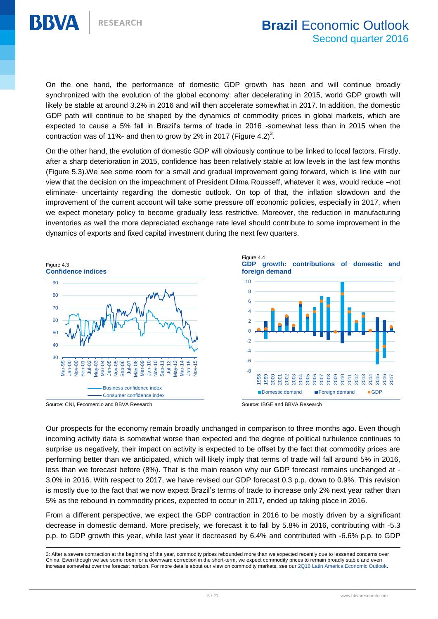

On the one hand, the performance of domestic GDP growth has been and will continue broadly synchronized with the evolution of the global economy: after decelerating in 2015, world GDP growth will likely be stable at around 3.2% in 2016 and will then accelerate somewhat in 2017. In addition, the domestic GDP path will continue to be shaped by the dynamics of commodity prices in global markets, which are expected to cause a 5% fall in Brazil's terms of trade in 2016 -somewhat less than in 2015 when the contraction was of 11%- and then to grow by 2% in 2017 (Figure 4.2)<sup>3</sup>.

On the other hand, the evolution of domestic GDP will obviously continue to be linked to local factors. Firstly, after a sharp deterioration in 2015, confidence has been relatively stable at low levels in the last few months (Figure 5.3).We see some room for a small and gradual improvement going forward, which is line with our view that the decision on the impeachment of President Dilma Rousseff, whatever it was, would reduce –not eliminate- uncertainty regarding the domestic outlook. On top of that, the inflation slowdown and the improvement of the current account will take some pressure off economic policies, especially in 2017, when we expect monetary policy to become gradually less restrictive. Moreover, the reduction in manufacturing inventories as well the more depreciated exchange rate level should contribute to some improvement in the dynamics of exports and fixed capital investment during the next few quarters.



Source: CNI, Fecomercio and BBVA Research Source: IBGE and BBVA Research

 $\overline{a}$ 

Figure 4.4 **GDP growth: contributions of domestic and** 





Our prospects for the economy remain broadly unchanged in comparison to three months ago. Even though incoming activity data is somewhat worse than expected and the degree of political turbulence continues to surprise us negatively, their impact on activity is expected to be offset by the fact that commodity prices are performing better than we anticipated, which will likely imply that terms of trade will fall around 5% in 2016, less than we forecast before (8%). That is the main reason why our GDP forecast remains unchanged at - 3.0% in 2016. With respect to 2017, we have revised our GDP forecast 0.3 p.p. down to 0.9%. This revision is mostly due to the fact that we now expect Brazil's terms of trade to increase only 2% next year rather than 5% as the rebound in commodity prices, expected to occur in 2017, ended up taking place in 2016.

From a different perspective, we expect the GDP contraction in 2016 to be mostly driven by a significant decrease in domestic demand. More precisely, we forecast it to fall by 5.8% in 2016, contributing with -5.3 p.p. to GDP growth this year, while last year it decreased by 6.4% and contributed with -6.6% p.p. to GDP

<sup>3:</sup> After a severe contraction at the beginning of the year, commodity prices rebounded more than we expected recently due to lessened concerns over China. Even though we see some room for a downward correction in the short-term, we expect commodity prices to remain broadly stable and even increase somewhat over the forecast horizon. For more details about our view on commodity markets, see our [2Q16 Latin America Economic Outlook.](https://www.bbvaresearch.com/en/category/regions-en/emerging-economies-en/latin-america/brazil/)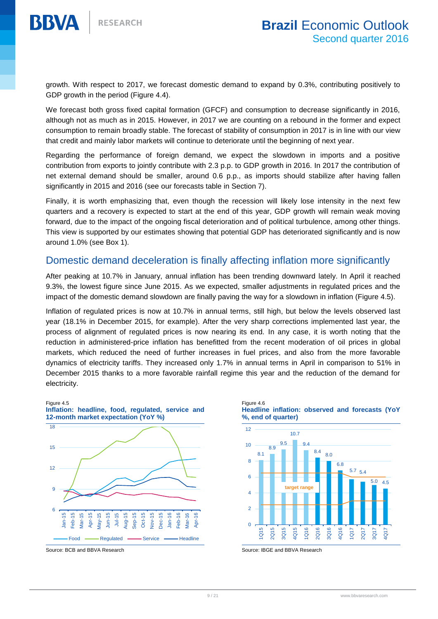

growth. With respect to 2017, we forecast domestic demand to expand by 0.3%, contributing positively to GDP growth in the period (Figure 4.4).

We forecast both gross fixed capital formation (GFCF) and consumption to decrease significantly in 2016, although not as much as in 2015. However, in 2017 we are counting on a rebound in the former and expect consumption to remain broadly stable. The forecast of stability of consumption in 2017 is in line with our view that credit and mainly labor markets will continue to deteriorate until the beginning of next year.

Regarding the performance of foreign demand, we expect the slowdown in imports and a positive contribution from exports to jointly contribute with 2.3 p.p. to GDP growth in 2016. In 2017 the contribution of net external demand should be smaller, around 0.6 p.p., as imports should stabilize after having fallen significantly in 2015 and 2016 (see our forecasts table in Section 7).

Finally, it is worth emphasizing that, even though the recession will likely lose intensity in the next few quarters and a recovery is expected to start at the end of this year, GDP growth will remain weak moving forward, due to the impact of the ongoing fiscal deterioration and of political turbulence, among other things. This view is supported by our estimates showing that potential GDP has deteriorated significantly and is now around 1.0% (see Box 1).

# Domestic demand deceleration is finally affecting inflation more significantly

After peaking at 10.7% in January, annual inflation has been trending downward lately. In April it reached 9.3%, the lowest figure since June 2015. As we expected, smaller adjustments in regulated prices and the impact of the domestic demand slowdown are finally paving the way for a slowdown in inflation (Figure 4.5).

Inflation of regulated prices is now at 10.7% in annual terms, still high, but below the levels observed last year (18.1% in December 2015, for example). After the very sharp corrections implemented last year, the process of alignment of regulated prices is now nearing its end. In any case, it is worth noting that the reduction in administered-price inflation has benefitted from the recent moderation of oil prices in global markets, which reduced the need of further increases in fuel prices, and also from the more favorable dynamics of electricity tariffs. They increased only 1.7% in annual terms in April in comparison to 51% in December 2015 thanks to a more favorable rainfall regime this year and the reduction of the demand for electricity.



Source: BCB and BBVA Research Source: IBGE and BBVA Research

Figure 4.6 **Headline inflation: observed and forecasts (YoY %, end of quarter)**



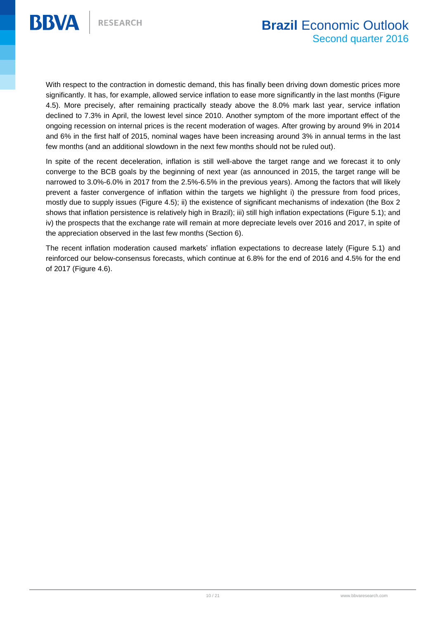

With respect to the contraction in domestic demand, this has finally been driving down domestic prices more significantly. It has, for example, allowed service inflation to ease more significantly in the last months (Figure 4.5). More precisely, after remaining practically steady above the 8.0% mark last year, service inflation declined to 7.3% in April, the lowest level since 2010. Another symptom of the more important effect of the ongoing recession on internal prices is the recent moderation of wages. After growing by around 9% in 2014 and 6% in the first half of 2015, nominal wages have been increasing around 3% in annual terms in the last few months (and an additional slowdown in the next few months should not be ruled out).

In spite of the recent deceleration, inflation is still well-above the target range and we forecast it to only converge to the BCB goals by the beginning of next year (as announced in 2015, the target range will be narrowed to 3.0%-6.0% in 2017 from the 2.5%-6.5% in the previous years). Among the factors that will likely prevent a faster convergence of inflation within the targets we highlight i) the pressure from food prices, mostly due to supply issues (Figure 4.5); ii) the existence of significant mechanisms of indexation (the Box 2 shows that inflation persistence is relatively high in Brazil); iii) still high inflation expectations (Figure 5.1); and iv) the prospects that the exchange rate will remain at more depreciate levels over 2016 and 2017, in spite of the appreciation observed in the last few months (Section 6).

The recent inflation moderation caused markets' inflation expectations to decrease lately (Figure 5.1) and reinforced our below-consensus forecasts, which continue at 6.8% for the end of 2016 and 4.5% for the end of 2017 (Figure 4.6).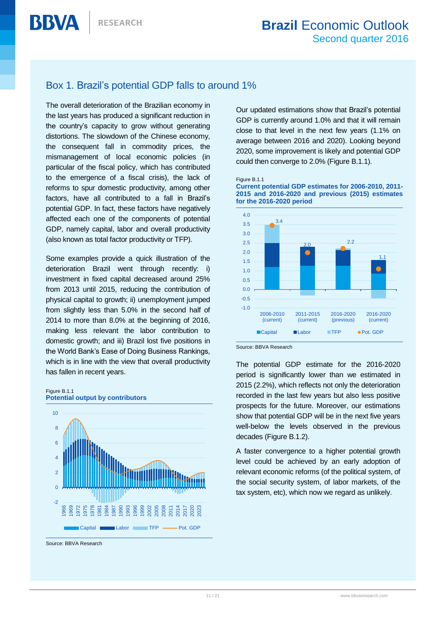# <span id="page-10-0"></span>Box 1. Brazil's potential GDP falls to around 1%

The overall deterioration of the Brazilian economy in the last years has produced a significant reduction in the country's capacity to grow without generating distortions. The slowdown of the Chinese economy, the consequent fall in commodity prices, the mismanagement of local economic policies (in particular of the fiscal policy, which has contributed to the emergence of a fiscal crisis), the lack of reforms to spur domestic productivity, among other factors, have all contributed to a fall in Brazil's potential GDP. In fact, these factors have negatively affected each one of the components of potential GDP, namely capital, labor and overall productivity (also known as total factor productivity or TFP).

Some examples provide a quick illustration of the deterioration Brazil went through recently: i) investment in fixed capital decreased around 25% from 2013 until 2015, reducing the contribution of physical capital to growth; ii) unemployment jumped from slightly less than 5.0% in the second half of 2014 to more than 8.0% at the beginning of 2016, making less relevant the labor contribution to domestic growth; and iii) Brazil lost five positions in the World Bank's Ease of Doing Business Rankings, which is in line with the view that overall productivity has fallen in recent years.





Source: BBVA Research

Our updated estimations show that Brazil's potential GDP is currently around 1.0% and that it will remain close to that level in the next few years (1.1% on average between 2016 and 2020). Looking beyond 2020, some improvement is likely and potential GDP could then converge to 2.0% (Figure B.1.1).







Source: BBVA Research

The potential GDP estimate for the 2016-2020 period is significantly lower than we estimated in 2015 (2.2%), which reflects not only the deterioration recorded in the last few years but also less positive prospects for the future. Moreover, our estimations show that potential GDP will be in the next five years well-below the levels observed in the previous decades (Figure B.1.2).

A faster convergence to a higher potential growth level could be achieved by an early adoption of relevant economic reforms (of the political system, of the social security system, of labor markets, of the tax system, etc), which now we regard as unlikely.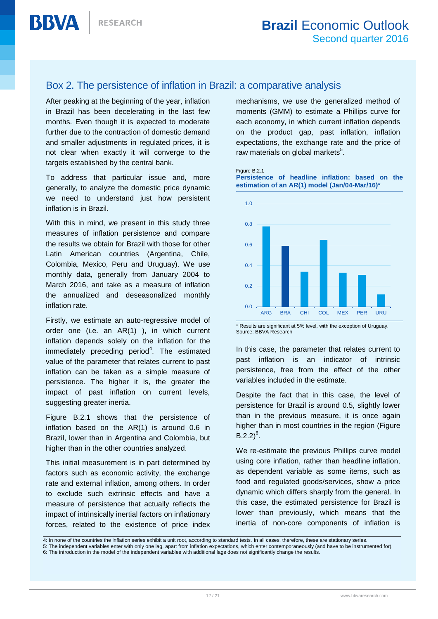# <span id="page-11-0"></span>Box 2. The persistence of inflation in Brazil: a comparative analysis

After peaking at the beginning of the year, inflation in Brazil has been decelerating in the last few months. Even though it is expected to moderate further due to the contraction of domestic demand and smaller adjustments in regulated prices, it is not clear when exactly it will converge to the targets established by the central bank.

To address that particular issue and, more generally, to analyze the domestic price dynamic we need to understand just how persistent inflation is in Brazil.

With this in mind, we present in this study three measures of inflation persistence and compare the results we obtain for Brazil with those for other Latin American countries (Argentina, Chile, Colombia, Mexico, Peru and Uruguay). We use monthly data, generally from January 2004 to March 2016, and take as a measure of inflation the annualized and deseasonalized monthly inflation rate.

Firstly, we estimate an auto-regressive model of order one (i.e. an AR(1) ), in which current inflation depends solely on the inflation for the immediately preceding period<sup>4</sup>. The estimated value of the parameter that relates current to past inflation can be taken as a simple measure of persistence. The higher it is, the greater the impact of past inflation on current levels, suggesting greater inertia.

Figure B.2.1 shows that the persistence of inflation based on the AR(1) is around 0.6 in Brazil, lower than in Argentina and Colombia, but higher than in the other countries analyzed.

This initial measurement is in part determined by factors such as economic activity, the exchange rate and external inflation, among others. In order to exclude such extrinsic effects and have a measure of persistence that actually reflects the impact of intrinsically inertial factors on inflationary forces, related to the existence of price index mechanisms, we use the generalized method of moments (GMM) to estimate a Phillips curve for each economy, in which current inflation depends on the product gap, past inflation, inflation expectations, the exchange rate and the price of raw materials on global markets<sup>5</sup>.

#### Figure B.2.1

**Persistence of headline inflation: based on the estimation of an AR(1) model (Jan/04-Mar/16)\***



\* Results are significant at 5% level, with the exception of Uruguay. Source: BBVA Research

In this case, the parameter that relates current to past inflation is an indicator of intrinsic persistence, free from the effect of the other variables included in the estimate.

Despite the fact that in this case, the level of persistence for Brazil is around 0.5, slightly lower than in the previous measure, it is once again higher than in most countries in the region (Figure  $B.2.2)^6$ .

We re-estimate the previous Phillips curve model using core inflation, rather than headline inflation, as dependent variable as some items, such as food and regulated goods/services, show a price dynamic which differs sharply from the general. In this case, the estimated persistence for Brazil is lower than previously, which means that the inertia of non-core components of inflation is

<sup>4:</sup> In none of the countries the inflation series exhibit a unit root, according to standard tests. In all cases, therefore, these are stationary series.<br>E. The independent variables enter with only ane lag, apart from infl

<sup>5</sup> 5: The independent variables enter with only one lag, apart from inflation expectations, which enter contemporaneously (and have to be instrumented for).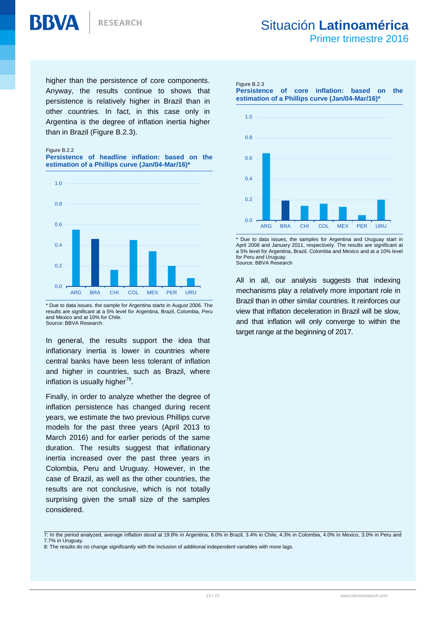

Primer trimestre 2016

higher than the persistence of core components. Anyway, the results continue to shows that persistence is relatively higher in Brazil than in other countries. In fact, in this case only in Argentina is the degree of inflation inertia higher than in Brazil (Figure B.2.3).

#### Figure B.2.2

**BBVA** 

#### **Persistence of headline inflation: based on the estimation of a Phillips curve (Jan/04-Mar/16)\***



\* Due to data issues, the sample for Argentina starts in August 2006. The results are significant at a 5% level for Argentina, Brazil, Colombia, Peru and Mexico and at 10% for Chile. Source: BBVA Research

In general, the results support the idea that inflationary inertia is lower in countries where central banks have been less tolerant of inflation and higher in countries, such as Brazil, where inflation is usually higher<sup>78</sup>.

Finally, in order to analyze whether the degree of inflation persistence has changed during recent years, we estimate the two previous Phillips curve models for the past three years (April 2013 to March 2016) and for earlier periods of the same duration. The results suggest that inflationary inertia increased over the past three years in Colombia, Peru and Uruguay. However, in the case of Brazil, as well as the other countries, the results are not conclusive, which is not totally surprising given the small size of the samples considered.

#### Figure B.2.3

**Persistence of core inflation: based on the estimation of a Phillips curve (Jan/04-Mar/16)\***



\* Due to data issues, the samples for Argentina and Uruguay start in April 2008 and January 2011, respectively. The results are significant at a 5% level for Argentina, Brazil, Colombia and Mexico and at a 10% level for Peru and Uruguay. Source: BBVA Research

All in all, our analysis suggests that indexing mechanisms play a relatively more important role in Brazil than in other similar countries. It reinforces our view that inflation deceleration in Brazil will be slow, and that inflation will only converge to within the target range at the beginning of 2017.

<sup>7:</sup> In the period a<br>7.7% in Uruguay. 7: In the period analyzed, average inflation stood at 19.8% in Argentina, 6.0% in Brazil, 3.4% in Chile, 4.3% in Colombia, 4.0% in Mexico, 3.0% in Peru and

<sup>8:</sup> The results do no change significantly with the inclusion of additional independent variables with more lags.  $B = \frac{3}{2}$ , 3.4% in Colombia, 4.3% in  $\frac{3}{2}$ , 3.0% in  $\frac{3}{2}$ , 3.0% in  $\frac{3}{2}$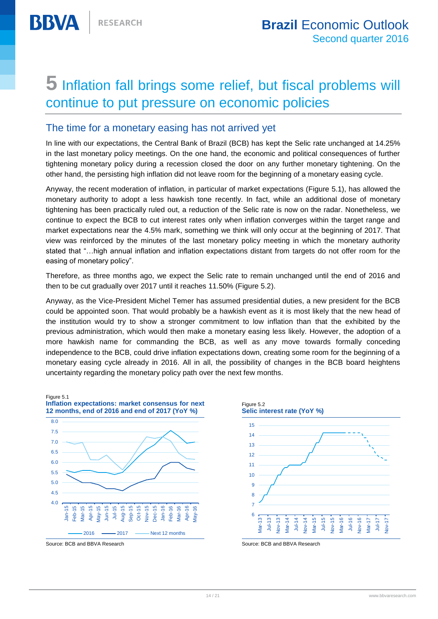# <span id="page-13-0"></span>**5** Inflation fall brings some relief, but fiscal problems will continue to put pressure on economic policies

# The time for a monetary easing has not arrived yet

In line with our expectations, the Central Bank of Brazil (BCB) has kept the Selic rate unchanged at 14.25% in the last monetary policy meetings. On the one hand, the economic and political consequences of further tightening monetary policy during a recession closed the door on any further monetary tightening. On the other hand, the persisting high inflation did not leave room for the beginning of a monetary easing cycle.

Anyway, the recent moderation of inflation, in particular of market expectations (Figure 5.1), has allowed the monetary authority to adopt a less hawkish tone recently. In fact, while an additional dose of monetary tightening has been practically ruled out, a reduction of the Selic rate is now on the radar. Nonetheless, we continue to expect the BCB to cut interest rates only when inflation converges within the target range and market expectations near the 4.5% mark, something we think will only occur at the beginning of 2017. That view was reinforced by the minutes of the last monetary policy meeting in which the monetary authority stated that "…high annual inflation and inflation expectations distant from targets do not offer room for the easing of monetary policy".

Therefore, as three months ago, we expect the Selic rate to remain unchanged until the end of 2016 and then to be cut gradually over 2017 until it reaches 11.50% (Figure 5.2).

Anyway, as the Vice-President Michel Temer has assumed presidential duties, a new president for the BCB could be appointed soon. That would probably be a hawkish event as it is most likely that the new head of the institution would try to show a stronger commitment to low inflation than that the exhibited by the previous administration, which would then make a monetary easing less likely. However, the adoption of a more hawkish name for commanding the BCB, as well as any move towards formally conceding independence to the BCB, could drive inflation expectations down, creating some room for the beginning of a monetary easing cycle already in 2016. All in all, the possibility of changes in the BCB board heightens uncertainty regarding the monetary policy path over the next few months.



Figure 5.2 **Selic interest rate (YoY %)** 6 7 8 9 10 11 12 13 14 15 Mar-13 Jul-13 Nov-13 Mar-14 Jul-14 Nov-14 Mar-15 Jul-15 Nov-15 Mar-16 Jul-16 Nov-16 Mar-17 Jul-17 Nov-17

Source: BCB and BBVA Research Source: BCB and BBVA Research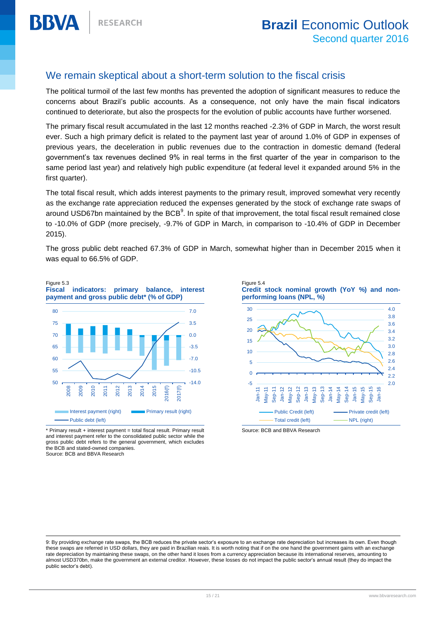# We remain skeptical about a short-term solution to the fiscal crisis

The political turmoil of the last few months has prevented the adoption of significant measures to reduce the concerns about Brazil's public accounts. As a consequence, not only have the main fiscal indicators continued to deteriorate, but also the prospects for the evolution of public accounts have further worsened.

The primary fiscal result accumulated in the last 12 months reached -2.3% of GDP in March, the worst result ever. Such a high primary deficit is related to the payment last year of around 1.0% of GDP in expenses of previous years, the deceleration in public revenues due to the contraction in domestic demand (federal government's tax revenues declined 9% in real terms in the first quarter of the year in comparison to the same period last year) and relatively high public expenditure (at federal level it expanded around 5% in the first quarter).

The total fiscal result, which adds interest payments to the primary result, improved somewhat very recently as the exchange rate appreciation reduced the expenses generated by the stock of exchange rate swaps of around USD67bn maintained by the BCB $^9$ . In spite of that improvement, the total fiscal result remained close to -10.0% of GDP (more precisely, -9.7% of GDP in March, in comparison to -10.4% of GDP in December 2015).

The gross public debt reached 67.3% of GDP in March, somewhat higher than in December 2015 when it was equal to 66.5% of GDP.



\* Primary result + interest payment = total fiscal result. Primary result and interest payment refer to the consolidated public sector while the gross public debt refers to the general government, which excludes the BCB and stated-owned companies. Source: BCB and BBVA Research

 $\overline{a}$ 





Source: BCB and BBVA Research

<sup>9:</sup> By providing exchange rate swaps, the BCB reduces the private sector's exposure to an exchange rate depreciation but increases its own. Even though these swaps are referred in USD dollars, they are paid in Brazilian reais. It is worth noting that if on the one hand the government gains with an exchange rate depreciation by maintaining these swaps, on the other hand it loses from a currency appreciation because its international reserves, amounting to almost USD370bn, make the government an external creditor. However, these losses do not impact the public sector's annual result (they do impact the public sector's debt).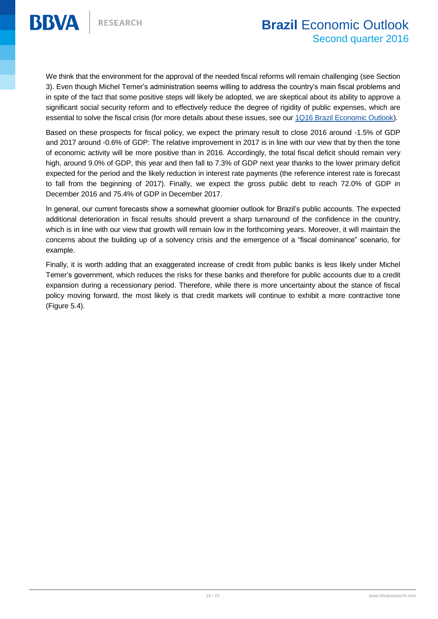We think that the environment for the approval of the needed fiscal reforms will remain challenging (see Section 3). Even though Michel Temer's administration seems willing to address the country's main fiscal problems and in spite of the fact that some positive steps will likely be adopted, we are skeptical about its ability to approve a significant social security reform and to effectively reduce the degree of rigidity of public expenses, which are essential to solve the fiscal crisis (for more details about these issues, see our [1Q16 Brazil Economic Outlook\)](https://www.bbvaresearch.com/en/public-compuesta/brazil-economic-outlook-first-quarter-2016/).

Based on these prospects for fiscal policy, we expect the primary result to close 2016 around -1.5% of GDP and 2017 around -0.6% of GDP: The relative improvement in 2017 is in line with our view that by then the tone of economic activity will be more positive than in 2016. Accordingly, the total fiscal deficit should remain very high, around 9.0% of GDP, this year and then fall to 7.3% of GDP next year thanks to the lower primary deficit expected for the period and the likely reduction in interest rate payments (the reference interest rate is forecast to fall from the beginning of 2017). Finally, we expect the gross public debt to reach 72.0% of GDP in December 2016 and 75.4% of GDP in December 2017.

In general, our current forecasts show a somewhat gloomier outlook for Brazil's public accounts. The expected additional deterioration in fiscal results should prevent a sharp turnaround of the confidence in the country, which is in line with our view that growth will remain low in the forthcoming years. Moreover, it will maintain the concerns about the building up of a solvency crisis and the emergence of a "fiscal dominance" scenario, for example.

Finally, it is worth adding that an exaggerated increase of credit from public banks is less likely under Michel Temer's government, which reduces the risks for these banks and therefore for public accounts due to a credit expansion during a recessionary period. Therefore, while there is more uncertainty about the stance of fiscal policy moving forward, the most likely is that credit markets will continue to exhibit a more contractive tone (Figure 5.4).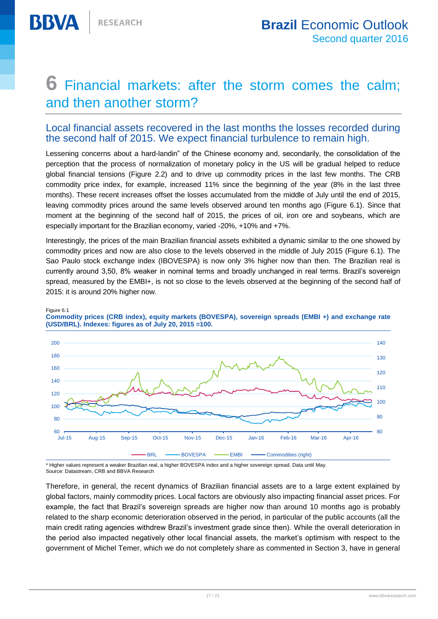# <span id="page-16-0"></span>**6** Financial markets: after the storm comes the calm; and then another storm?

# Local financial assets recovered in the last months the losses recorded during the second half of 2015. We expect financial turbulence to remain high.

Lessening concerns about a hard-landin" of the Chinese economy and, secondarily, the consolidation of the perception that the process of normalization of monetary policy in the US will be gradual helped to reduce global financial tensions (Figure 2.2) and to drive up commodity prices in the last few months. The CRB commodity price index, for example, increased 11% since the beginning of the year (8% in the last three months). These recent increases offset the losses accumulated from the middle of July until the end of 2015, leaving commodity prices around the same levels observed around ten months ago (Figure 6.1). Since that moment at the beginning of the second half of 2015, the prices of oil, iron ore and soybeans, which are especially important for the Brazilian economy, varied -20%, +10% and +7%.

Interestingly, the prices of the main Brazilian financial assets exhibited a dynamic similar to the one showed by commodity prices and now are also close to the levels observed in the middle of July 2015 (Figure 6.1). The Sao Paulo stock exchange index (IBOVESPA) is now only 3% higher now than then. The Brazilian real is currently around 3,50, 8% weaker in nominal terms and broadly unchanged in real terms. Brazil's sovereign spread, measured by the EMBI+, is not so close to the levels observed at the beginning of the second half of 2015: it is around 20% higher now.



Figure 6.1

**Commodity prices (CRB index), equity markets (BOVESPA), sovereign spreads (EMBI +) and exchange rate (USD/BRL). Indexes: figures as of July 20, 2015 =100.**

\* Higher values represent a weaker Brazilian real, a higher BOVESPA index and a higher sovereign spread. Data until May. Source: Datastream, CRB and BBVA Research

Therefore, in general, the recent dynamics of Brazilian financial assets are to a large extent explained by global factors, mainly commodity prices. Local factors are obviously also impacting financial asset prices. For example, the fact that Brazil's sovereign spreads are higher now than around 10 months ago is probably related to the sharp economic deterioration observed in the period, in particular of the public accounts (all the main credit rating agencies withdrew Brazil's investment grade since then). While the overall deterioration in the period also impacted negatively other local financial assets, the market's optimism with respect to the government of Michel Temer, which we do not completely share as commented in Section 3, have in general

90 100 110

120

130

140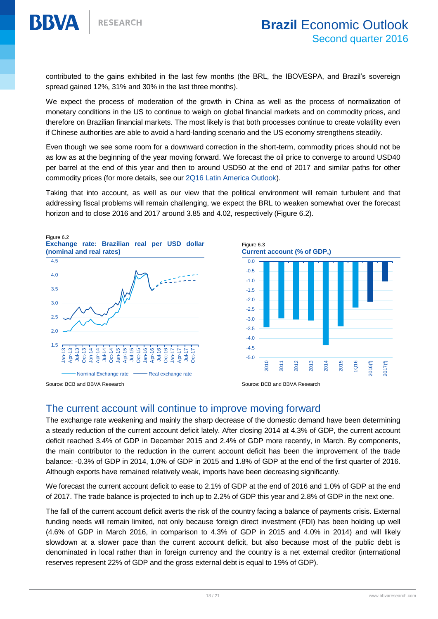

contributed to the gains exhibited in the last few months (the BRL, the IBOVESPA, and Brazil's sovereign spread gained 12%, 31% and 30% in the last three months).

We expect the process of moderation of the growth in China as well as the process of normalization of monetary conditions in the US to continue to weigh on global financial markets and on commodity prices, and therefore on Brazilian financial markets. The most likely is that both processes continue to create volatility even if Chinese authorities are able to avoid a hard-landing scenario and the US economy strengthens steadily.

Even though we see some room for a downward correction in the short-term, commodity prices should not be as low as at the beginning of the year moving forward. We forecast the oil price to converge to around USD40 per barrel at the end of this year and then to around USD50 at the end of 2017 and similar paths for other commodity prices (for more details, see our [2Q16 Latin America Outlook\)](https://www.bbvaresearch.com/en/category/regions-en/emerging-economies-en/latin-america/brazil/).

Taking that into account, as well as our view that the political environment will remain turbulent and that addressing fiscal problems will remain challenging, we expect the BRL to weaken somewhat over the forecast horizon and to close 2016 and 2017 around 3.85 and 4.02, respectively (Figure 6.2).







# The current account will continue to improve moving forward

The exchange rate weakening and mainly the sharp decrease of the domestic demand have been determining a steady reduction of the current account deficit lately. After closing 2014 at 4.3% of GDP, the current account deficit reached 3.4% of GDP in December 2015 and 2.4% of GDP more recently, in March. By components, the main contributor to the reduction in the current account deficit has been the improvement of the trade balance: -0.3% of GDP in 2014, 1.0% of GDP in 2015 and 1.8% of GDP at the end of the first quarter of 2016. Although exports have remained relatively weak, imports have been decreasing significantly.

We forecast the current account deficit to ease to 2.1% of GDP at the end of 2016 and 1.0% of GDP at the end of 2017. The trade balance is projected to inch up to 2.2% of GDP this year and 2.8% of GDP in the next one.

The fall of the current account deficit averts the risk of the country facing a balance of payments crisis. External funding needs will remain limited, not only because foreign direct investment (FDI) has been holding up well (4.6% of GDP in March 2016, in comparison to 4.3% of GDP in 2015 and 4.0% in 2014) and will likely slowdown at a slower pace than the current account deficit, but also because most of the public debt is denominated in local rather than in foreign currency and the country is a net external creditor (international reserves represent 22% of GDP and the gross external debt is equal to 19% of GDP).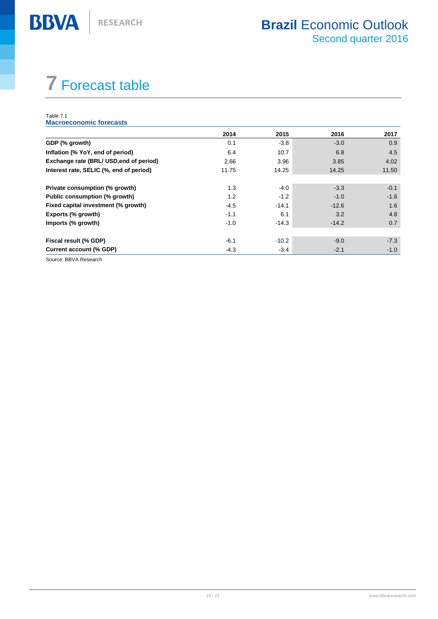# <span id="page-18-0"></span>**7** Forecast table

#### Table 7.1 **Macroeconomic forecasts**

**BBVA** 

|                                         | 2014   | 2015    | 2016    | 2017             |
|-----------------------------------------|--------|---------|---------|------------------|
| GDP (% growth)                          | 0.1    | $-3.8$  | $-3.0$  | 0.9 <sub>0</sub> |
| Inflation (% YoY, end of period)        | 6.4    | 10.7    | 6.8     | 4.5              |
| Exchange rate (BRL/ USD, end of period) | 2.66   | 3.96    | 3.85    | 4.02             |
| Interest rate, SELIC (%, end of period) | 11.75  | 14.25   | 14.25   | 11.50            |
| Private consumption (% growth)          | 1.3    | $-4.0$  | $-3.3$  | $-0.1$           |
| Public consumption (% growth)           | 1.2    | $-1.2$  | $-1.0$  | $-1.6$           |
| Fixed capital investment (% growth)     | $-4.5$ | $-14.1$ | $-12.6$ | 1.6              |
| Exports (% growth)                      | $-1.1$ | 6.1     | 3.2     | 4.8              |
| Imports (% growth)                      | $-1.0$ | $-14.3$ | $-14.2$ | 0.7              |
|                                         |        |         |         |                  |
| Fiscal result (% GDP)                   | $-6.1$ | $-10.2$ | $-9.0$  | $-7.3$           |
| <b>Current account (% GDP)</b>          | $-4.3$ | $-3.4$  | $-2.1$  | $-1.0$           |

Source: BBVA Research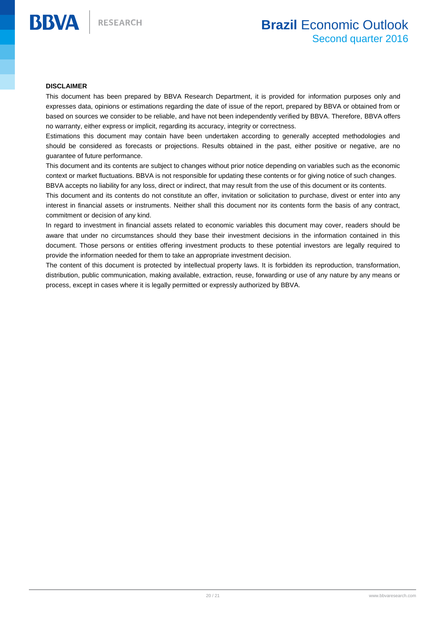#### <span id="page-19-0"></span>**DISCLAIMER**

**BBVA** 

This document has been prepared by BBVA Research Department, it is provided for information purposes only and expresses data, opinions or estimations regarding the date of issue of the report, prepared by BBVA or obtained from or based on sources we consider to be reliable, and have not been independently verified by BBVA. Therefore, BBVA offers no warranty, either express or implicit, regarding its accuracy, integrity or correctness.

Estimations this document may contain have been undertaken according to generally accepted methodologies and should be considered as forecasts or projections. Results obtained in the past, either positive or negative, are no guarantee of future performance.

This document and its contents are subject to changes without prior notice depending on variables such as the economic context or market fluctuations. BBVA is not responsible for updating these contents or for giving notice of such changes.

BBVA accepts no liability for any loss, direct or indirect, that may result from the use of this document or its contents.

This document and its contents do not constitute an offer, invitation or solicitation to purchase, divest or enter into any interest in financial assets or instruments. Neither shall this document nor its contents form the basis of any contract, commitment or decision of any kind.

In regard to investment in financial assets related to economic variables this document may cover, readers should be aware that under no circumstances should they base their investment decisions in the information contained in this document. Those persons or entities offering investment products to these potential investors are legally required to provide the information needed for them to take an appropriate investment decision.

The content of this document is protected by intellectual property laws. It is forbidden its reproduction, transformation, distribution, public communication, making available, extraction, reuse, forwarding or use of any nature by any means or process, except in cases where it is legally permitted or expressly authorized by BBVA.